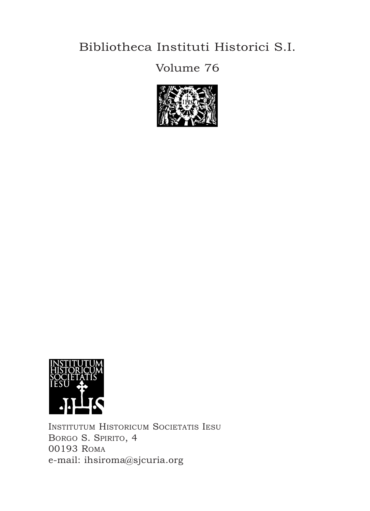## Bibliotheca Instituti Historici s.I.

## Volume 76





INSTITUTUM HISTORICUM SOCIETATIS IESU BORGO S. SPIRITO, 4 00193 roma e-mail: ihsiroma@sjcuria.org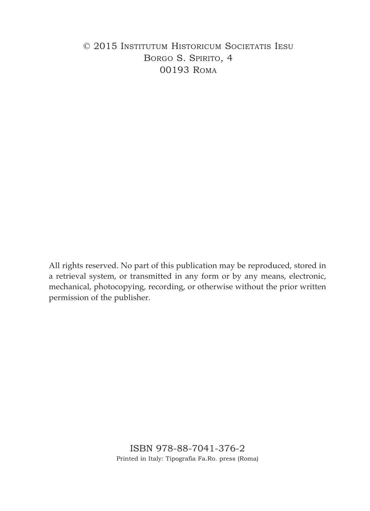### © 2015 INSTITuTum HISTorIcum SocIeTaTIS IeSu BORGO S. SPIRITO, 4 00193 roma

All rights reserved. No part of this publication may be reproduced, stored in a retrieval system, or transmitted in any form or by any means, electronic, mechanical, photocopying, recording, or otherwise without the prior written permission of the publisher.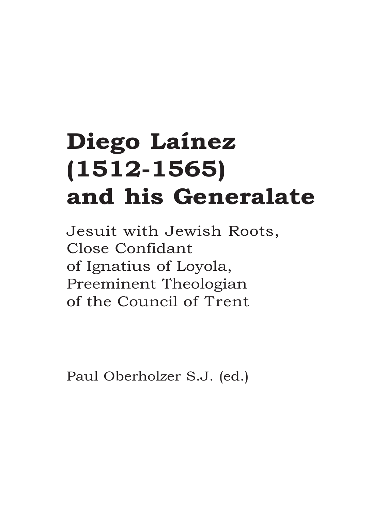# **Diego Laínez (1512-1565) and his Generalate**

Jesuit with Jewish Roots, close confidant of Ignatius of Loyola, preeminent Theologian of the council of Trent

paul oberholzer S.J. (ed.)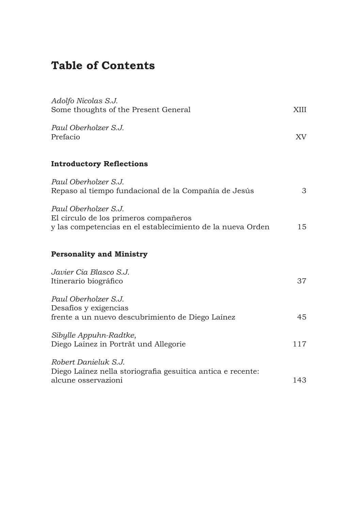## **Table of Contents**

| Adolfo Nicolas S.J.<br>Some thoughts of the Present General                                                                 | XIII |
|-----------------------------------------------------------------------------------------------------------------------------|------|
| Paul Oberholzer S.J.<br>Prefacio                                                                                            | XV   |
| <b>Introductory Reflections</b>                                                                                             |      |
| Paul Oberholzer S.J.<br>Repaso al tiempo fundacional de la Compañía de Jesús                                                | 3    |
| Paul Oberholzer S.J.<br>El círculo de los primeros compañeros<br>y las competencias en el establecimiento de la nueva Orden | 15   |
| <b>Personality and Ministry</b>                                                                                             |      |
| Javier Cia Blasco S.J.<br>Itinerario biográfico                                                                             | 37   |
| Paul Oberholzer S.J.<br>Desafios y exigencias<br>frente a un nuevo descubrimiento de Diego Laínez                           | 45   |
| Sibylle Appuhn-Radtke,<br>Diego Lainez in Porträt und Allegorie                                                             | 117  |
| Robert Danieluk S.J.<br>Diego Laínez nella storiografia gesuitica antica e recente:<br>alcune osservazioni                  | 143  |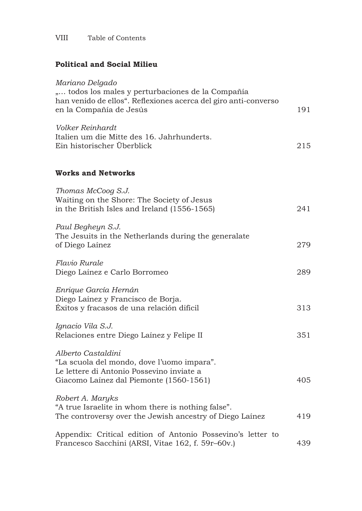#### **Political and Social Milieu**

| Mariano Delgado<br>" todos los males y perturbaciones de la Compañía                                                                                     |     |
|----------------------------------------------------------------------------------------------------------------------------------------------------------|-----|
| han venido de ellos". Reflexiones acerca del giro anti-converso<br>en la Compañía de Jesús                                                               | 191 |
| Volker Reinhardt<br>Italien um die Mitte des 16. Jahrhunderts.<br>Ein historischer Überblick                                                             | 215 |
| <b>Works and Networks</b>                                                                                                                                |     |
| Thomas McCoog S.J.<br>Waiting on the Shore: The Society of Jesus<br>in the British Isles and Ireland (1556-1565)                                         | 241 |
| Paul Begheyn S.J.<br>The Jesuits in the Netherlands during the generalate<br>of Diego Laínez                                                             | 279 |
| Flavio Rurale<br>Diego Laínez e Carlo Borromeo                                                                                                           | 289 |
| Enrique García Hernán<br>Diego Laínez y Francisco de Borja.<br>Éxitos y fracasos de una relación difícil                                                 | 313 |
| Ignacio Vila S.J.<br>Relaciones entre Diego Laínez y Felipe II                                                                                           | 351 |
| Alberto Castaldini<br>"La scuola del mondo, dove l'uomo impara".<br>Le lettere di Antonio Possevino inviate a<br>Giacomo Laínez dal Piemonte (1560-1561) | 405 |
| Robert A. Maryks<br>"A true Israelite in whom there is nothing false".<br>The controversy over the Jewish ancestry of Diego Lainez                       | 419 |
| Appendix: Critical edition of Antonio Possevino's letter to<br>Francesco Sacchini (ARSI, Vitae 162, f. 59r–60v.)                                         | 439 |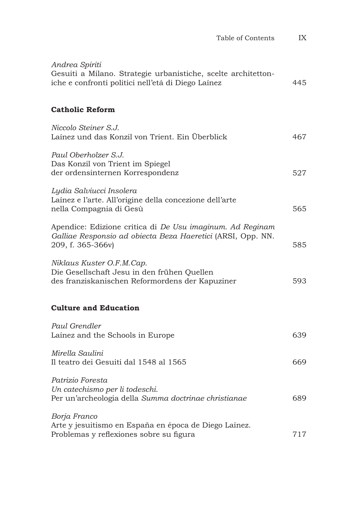| Table of Contents                                                                                                                             | IX  |
|-----------------------------------------------------------------------------------------------------------------------------------------------|-----|
| Andrea Spiriti<br>Gesuiti a Milano. Strategie urbanistiche, scelte architetton-<br>iche e confronti politici nell'etá di Diego Laínez         | 445 |
| <b>Catholic Reform</b>                                                                                                                        |     |
| Niccolo Steiner S.J.<br>Lainez und das Konzil von Trient. Ein Überblick                                                                       | 467 |
| Paul Oberholzer S.J.<br>Das Konzil von Trient im Spiegel<br>der ordensinternen Korrespondenz                                                  | 527 |
| Lydia Salviucci Insolera<br>Laínez e l'arte. All'origine della concezione dell'arte<br>nella Compagnia di Gesù                                | 565 |
| Apendice: Edizione critica di De Usu imaginum. Ad Reginam<br>Galliae Responsio ad obiecta Beza Haeretici (ARSI, Opp. NN.<br>209, f. 365-366v) | 585 |
| Niklaus Kuster O.F.M.Cap.<br>Die Gesellschaft Jesu in den frühen Quellen<br>des franziskanischen Reformordens der Kapuziner                   | 593 |
| <b>Culture and Education</b>                                                                                                                  |     |
| Paul Grendler<br>Lainez and the Schools in Europe                                                                                             | 639 |
| Mirella Saulini<br>Il teatro dei Gesuiti dal 1548 al 1565                                                                                     | 669 |
| Patrizio Foresta<br>Un catechismo per li todeschi.<br>Per un'archeologia della Summa doctrinae christianae                                    | 689 |
| Borja Franco<br>Arte y jesuitismo en España en época de Diego Laínez.<br>Problemas y reflexiones sobre su figura                              | 717 |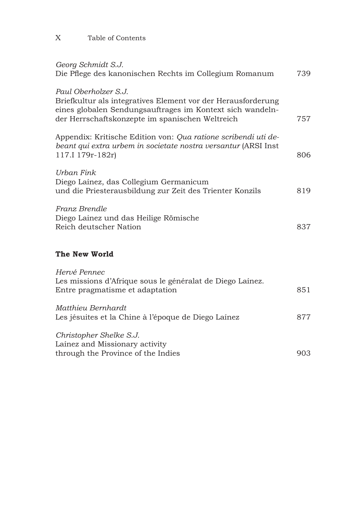#### X Table of Contents

| Georg Schmidt S.J.                                                                                                                                                                                   |     |
|------------------------------------------------------------------------------------------------------------------------------------------------------------------------------------------------------|-----|
| Die Pflege des kanonischen Rechts im Collegium Romanum                                                                                                                                               | 739 |
| Paul Oberholzer S.J.<br>Briefkultur als integratives Element vor der Herausforderung<br>eines globalen Sendungsauftrages im Kontext sich wandeln-<br>der Herrschaftskonzepte im spanischen Weltreich | 757 |
| Appendix: Kritische Edition von: Qua ratione scribendi uti de-<br>beant qui extra urbem in societate nostra versantur (ARSI Inst<br>117.I 179r-182r)                                                 | 806 |
| Urban Fink<br>Diego Laínez, das Collegium Germanicum<br>und die Priesterausbildung zur Zeit des Trienter Konzils                                                                                     | 819 |
| Franz Brendle<br>Diego Lainez und das Heilige Römische<br>Reich deutscher Nation                                                                                                                     | 837 |
| The New World                                                                                                                                                                                        |     |
| Hervé Pennec<br>Les missions d'Afrique sous le généralat de Diego Lainez.<br>Entre pragmatisme et adaptation                                                                                         | 851 |
| Matthieu Bernhardt<br>Les jésuites et la Chine à l'époque de Diego Lainez                                                                                                                            | 877 |
| Christopher Shelke S.J.<br>Lainez and Missionary activity<br>through the Province of the Indies                                                                                                      | 903 |
|                                                                                                                                                                                                      |     |